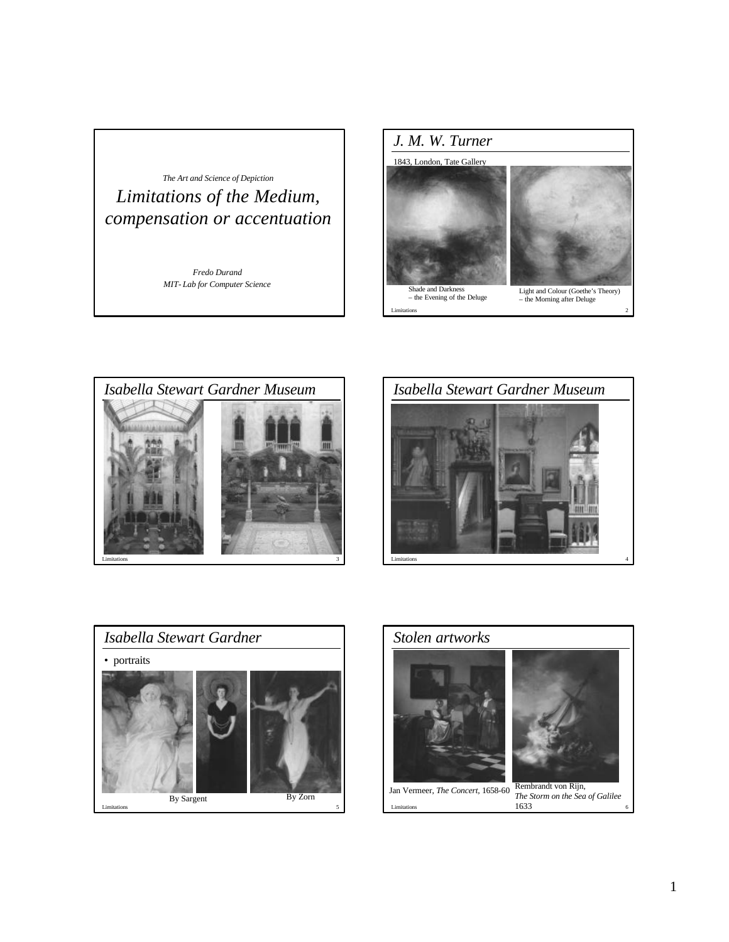









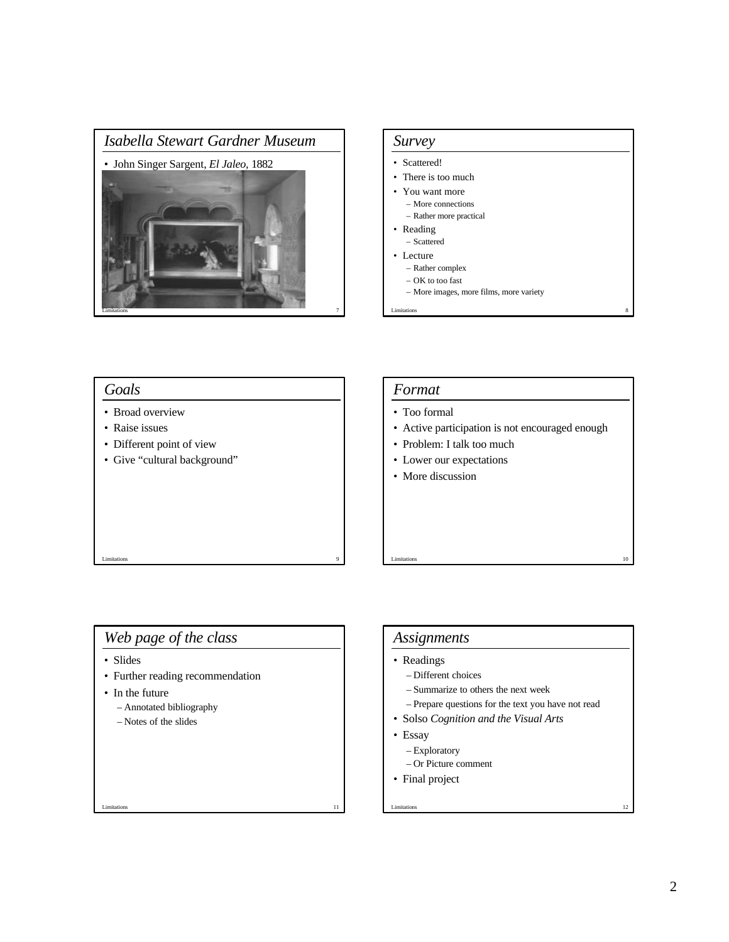



#### Limitations **9** *Goals* • Broad overview • Raise issues • Different point of view • Give "cultural background" Limitations 10 *Format* • Too formal • Active participation is not encouraged enough • Problem: I talk too much • Lower our expectations • More discussion

## *Web page of the class*

- Slides
- Further reading recommendation
- In the future
	- Annotated bibliography
	- Notes of the slides

#### *Assignments*

- Readings
	- Different choices
	- Summarize to others the next week
	- Prepare questions for the text you have not read

Limitations 12

- Solso *Cognition and the Visual Arts*
- Essay
	- Exploratory
	- Or Picture comment
- Final project

Limitations 11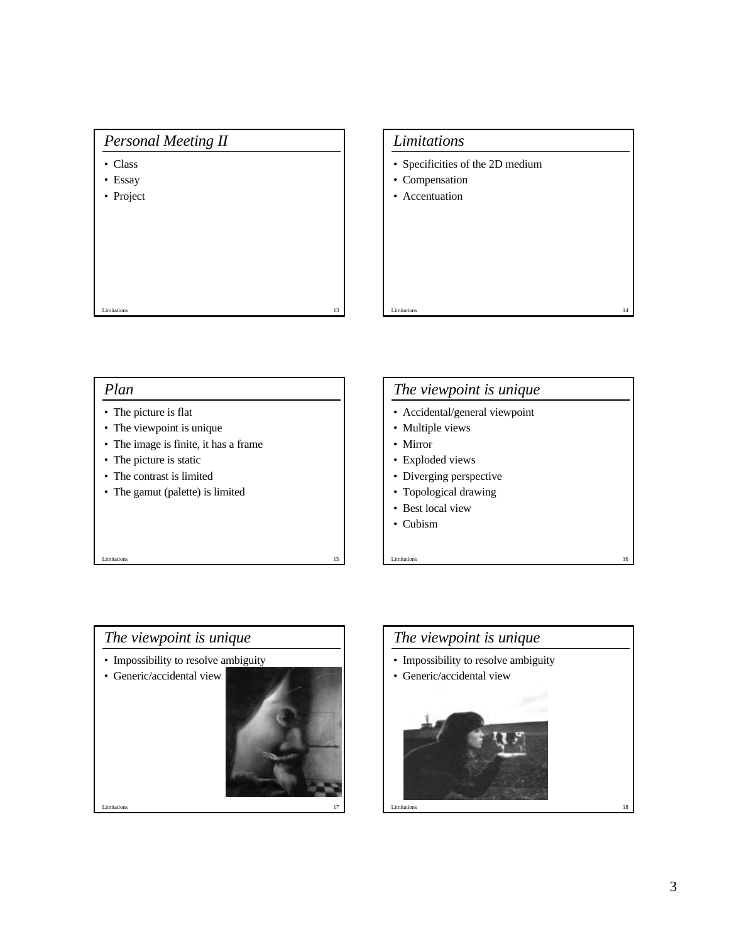## *Personal Meeting II*

- Class
- Essay
- Project

# *Limitations*

- Specificities of the 2D medium
- Compensation
- Accentuation

### *Plan*

- The picture is flat
- The viewpoint is unique
- The image is finite, it has a frame

Limitations 13

- The picture is static
- The contrast is limited
- The gamut (palette) is limited

# *The viewpoint is unique*

Limitations 14

- Accidental/general viewpoint
- Multiple views
- Mirror
- Exploded views
- Diverging perspective
- Topological drawing
- Best local view
- Cubism



Limitations 15



Limitations 16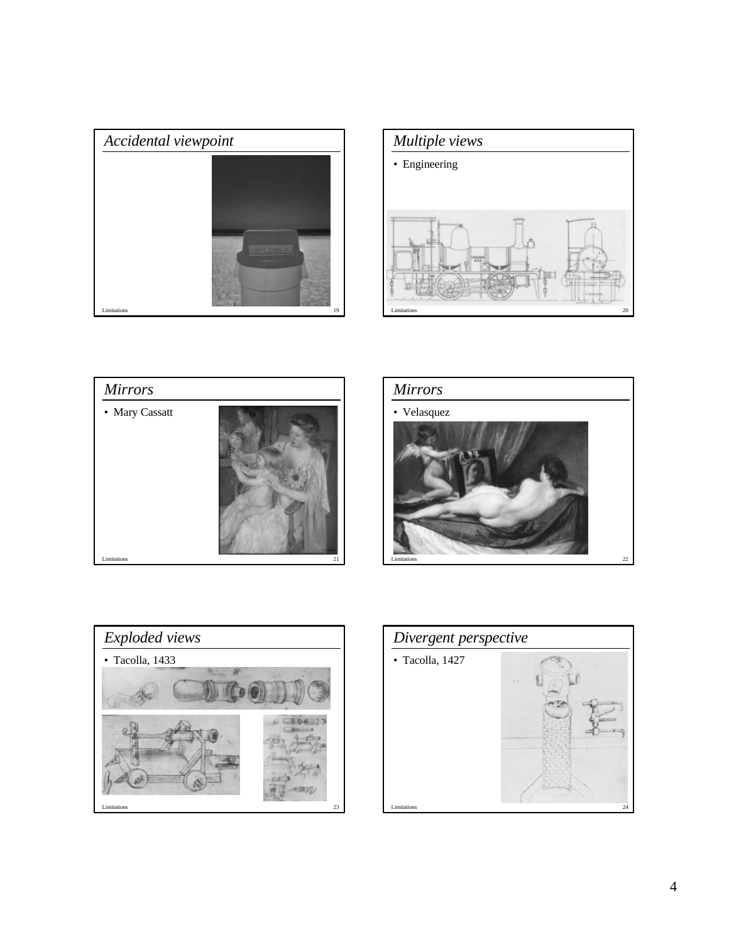









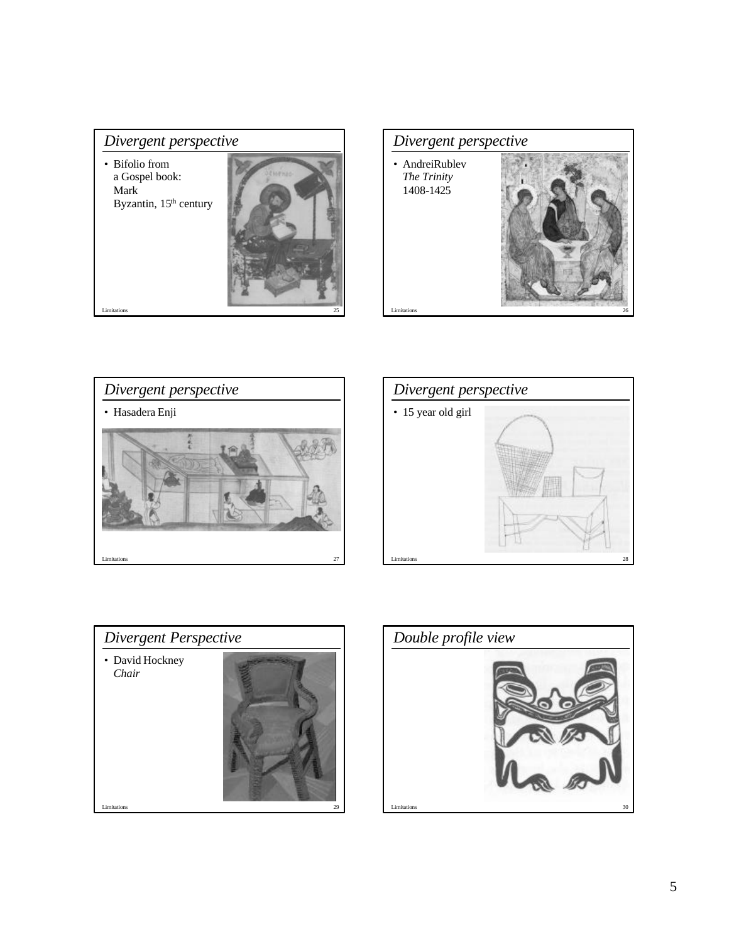## *Divergent perspective*

• Bifolio from a Gospel book: Mark Byzantin, 15<sup>th</sup> century











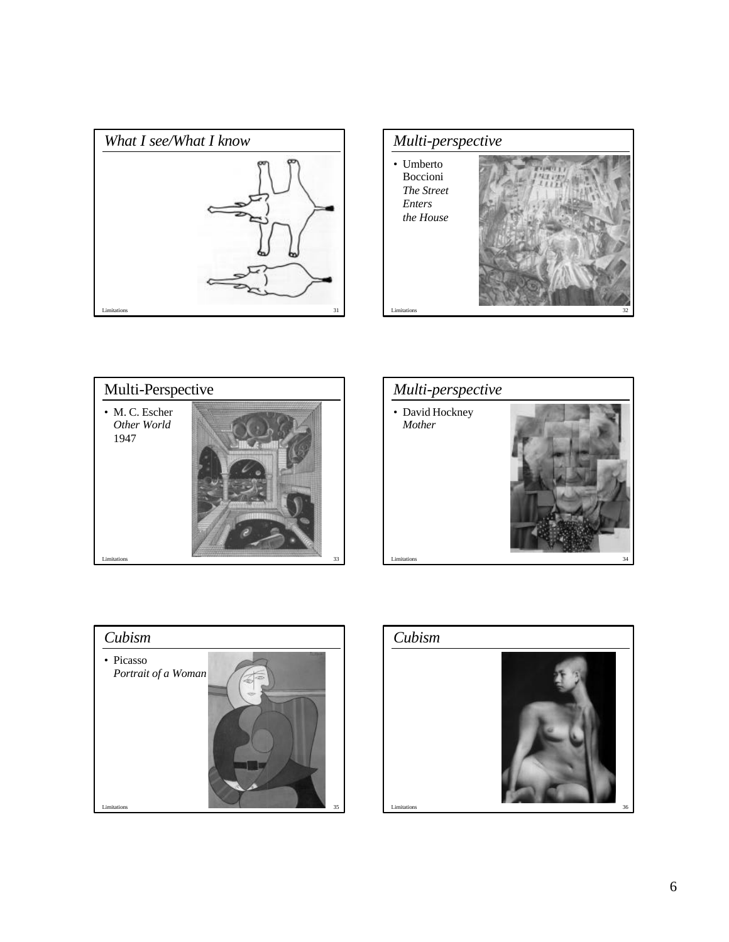









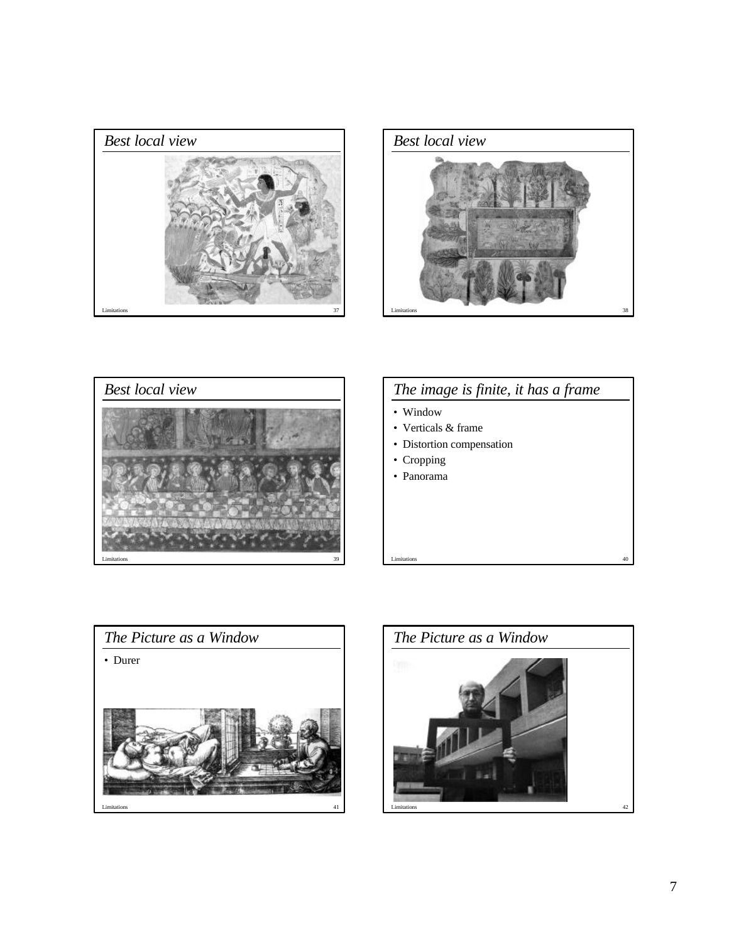





# *The image is finite, it has a frame*

- Window
- Verticals & frame
- Distortion compensation
- Cropping
- Panorama





Limitations 40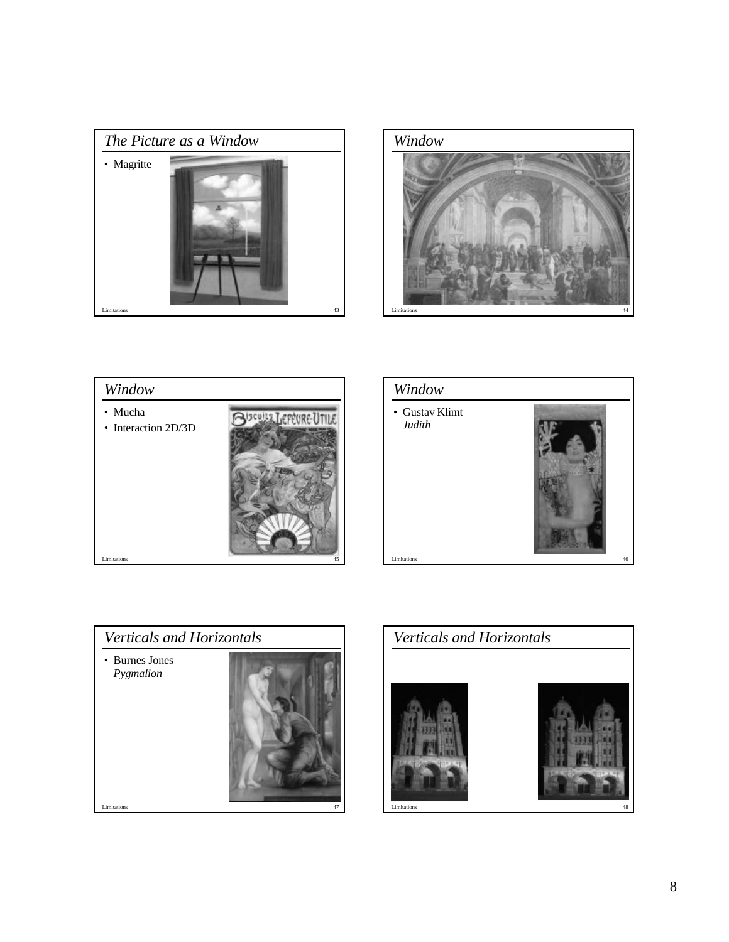









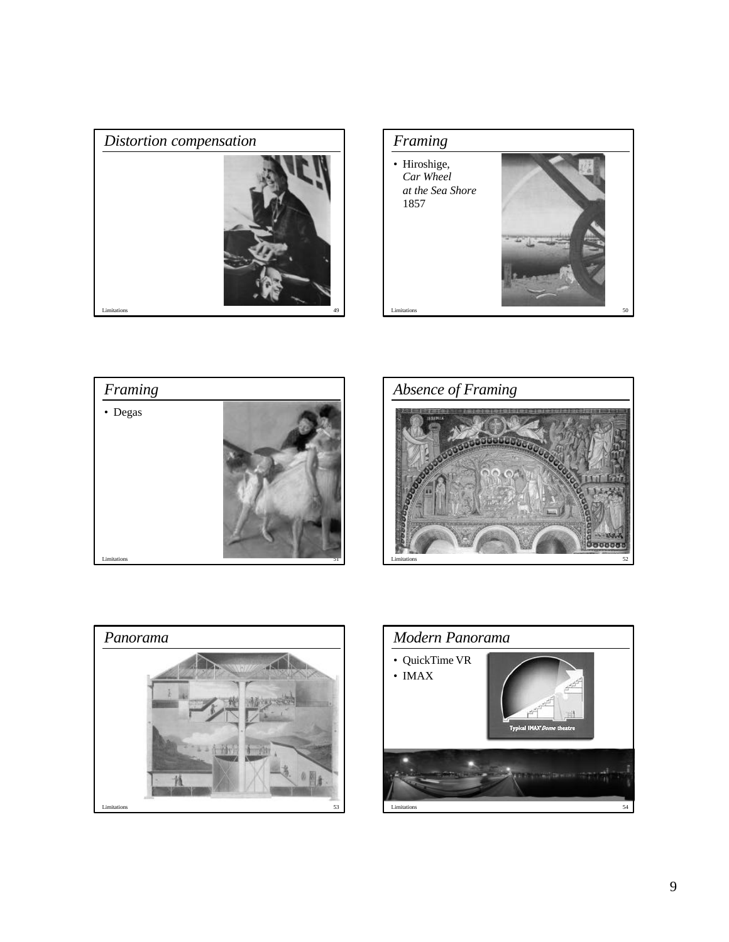